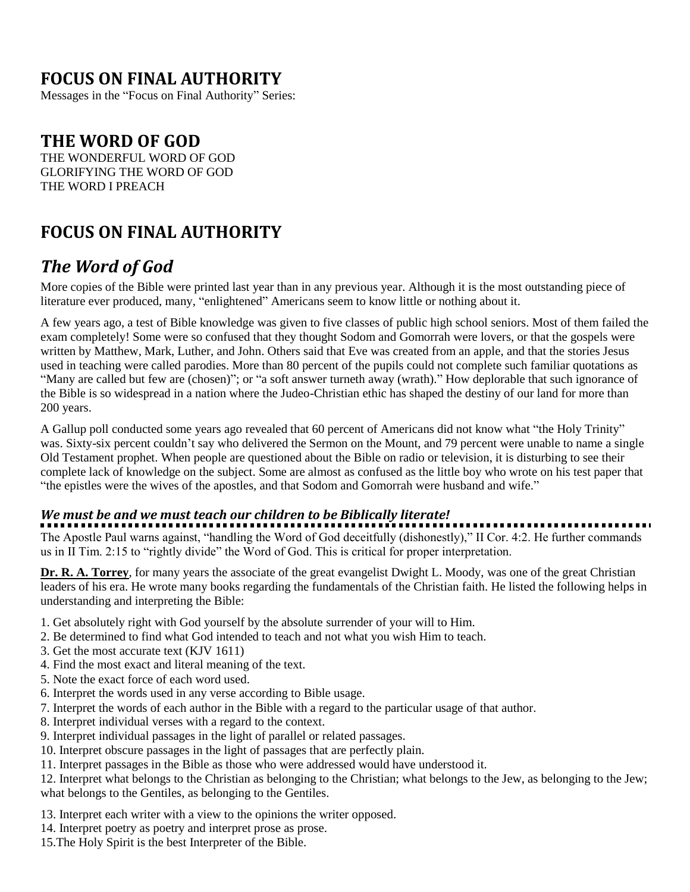### **FOCUS ON FINAL AUTHORITY**

Messages in the "Focus on Final Authority" Series:

### **THE WORD OF GOD**

THE WONDERFUL WORD OF GOD GLORIFYING THE WORD OF GOD THE WORD I PREACH

### **FOCUS ON FINAL AUTHORITY**

### *The Word of God*

More copies of the Bible were printed last year than in any previous year. Although it is the most outstanding piece of literature ever produced, many, "enlightened" Americans seem to know little or nothing about it.

A few years ago, a test of Bible knowledge was given to five classes of public high school seniors. Most of them failed the exam completely! Some were so confused that they thought Sodom and Gomorrah were lovers, or that the gospels were written by Matthew, Mark, Luther, and John. Others said that Eve was created from an apple, and that the stories Jesus used in teaching were called parodies. More than 80 percent of the pupils could not complete such familiar quotations as "Many are called but few are (chosen)"; or "a soft answer turneth away (wrath)." How deplorable that such ignorance of the Bible is so widespread in a nation where the Judeo-Christian ethic has shaped the destiny of our land for more than 200 years.

A Gallup poll conducted some years ago revealed that 60 percent of Americans did not know what "the Holy Trinity" was. Sixty-six percent couldn't say who delivered the Sermon on the Mount, and 79 percent were unable to name a single Old Testament prophet. When people are questioned about the Bible on radio or television, it is disturbing to see their complete lack of knowledge on the subject. Some are almost as confused as the little boy who wrote on his test paper that "the epistles were the wives of the apostles, and that Sodom and Gomorrah were husband and wife."

#### *We must be and we must teach our children to be Biblically literate!*

The Apostle Paul warns against, "handling the Word of God deceitfully (dishonestly)," II Cor. 4:2. He further commands us in II Tim. 2:15 to "rightly divide" the Word of God. This is critical for proper interpretation.

**Dr. R. A. Torrey**, for many years the associate of the great evangelist Dwight L. Moody, was one of the great Christian leaders of his era. He wrote many books regarding the fundamentals of the Christian faith. He listed the following helps in understanding and interpreting the Bible:

- 1. Get absolutely right with God yourself by the absolute surrender of your will to Him.
- 2. Be determined to find what God intended to teach and not what you wish Him to teach.
- 3. Get the most accurate text (KJV 1611)
- 4. Find the most exact and literal meaning of the text.
- 5. Note the exact force of each word used.
- 6. Interpret the words used in any verse according to Bible usage.
- 7. Interpret the words of each author in the Bible with a regard to the particular usage of that author.
- 8. Interpret individual verses with a regard to the context.
- 9. Interpret individual passages in the light of parallel or related passages.
- 10. Interpret obscure passages in the light of passages that are perfectly plain.
- 11. Interpret passages in the Bible as those who were addressed would have understood it.

12. Interpret what belongs to the Christian as belonging to the Christian; what belongs to the Jew, as belonging to the Jew; what belongs to the Gentiles, as belonging to the Gentiles.

13. Interpret each writer with a view to the opinions the writer opposed.

- 14. Interpret poetry as poetry and interpret prose as prose.
- 15.The Holy Spirit is the best Interpreter of the Bible.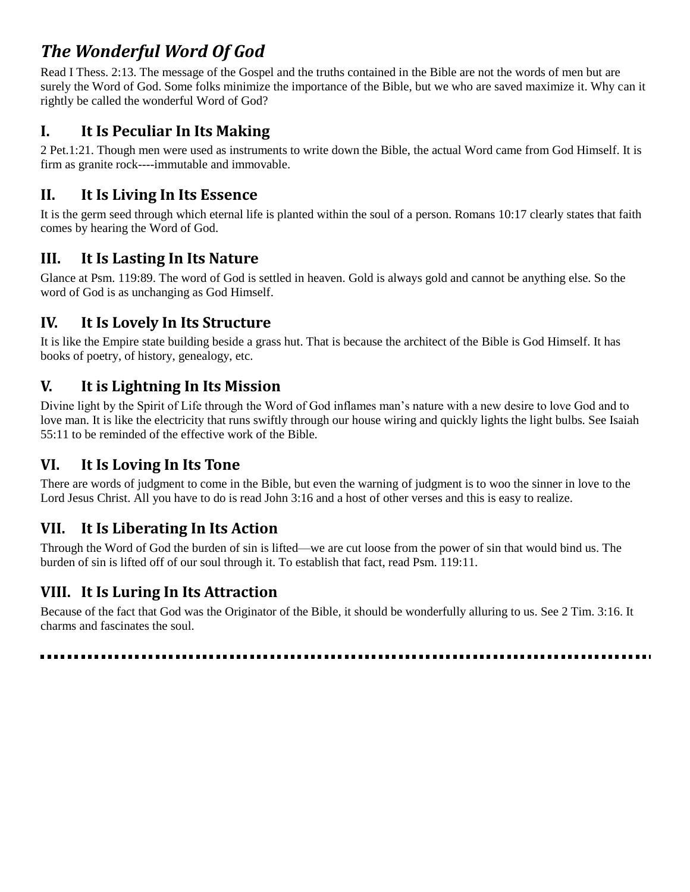# *The Wonderful Word Of God*

Read I Thess. 2:13. The message of the Gospel and the truths contained in the Bible are not the words of men but are surely the Word of God. Some folks minimize the importance of the Bible, but we who are saved maximize it. Why can it rightly be called the wonderful Word of God?

#### **I. It Is Peculiar In Its Making**

2 Pet.1:21. Though men were used as instruments to write down the Bible, the actual Word came from God Himself. It is firm as granite rock----immutable and immovable.

### **II. It Is Living In Its Essence**

It is the germ seed through which eternal life is planted within the soul of a person. Romans 10:17 clearly states that faith comes by hearing the Word of God.

#### **III. It Is Lasting In Its Nature**

Glance at Psm. 119:89. The word of God is settled in heaven. Gold is always gold and cannot be anything else. So the word of God is as unchanging as God Himself.

### **IV. It Is Lovely In Its Structure**

It is like the Empire state building beside a grass hut. That is because the architect of the Bible is God Himself. It has books of poetry, of history, genealogy, etc.

#### **V. It is Lightning In Its Mission**

Divine light by the Spirit of Life through the Word of God inflames man's nature with a new desire to love God and to love man. It is like the electricity that runs swiftly through our house wiring and quickly lights the light bulbs. See Isaiah 55:11 to be reminded of the effective work of the Bible.

#### **VI. It Is Loving In Its Tone**

There are words of judgment to come in the Bible, but even the warning of judgment is to woo the sinner in love to the Lord Jesus Christ. All you have to do is read John 3:16 and a host of other verses and this is easy to realize.

#### **VII. It Is Liberating In Its Action**

Through the Word of God the burden of sin is lifted—we are cut loose from the power of sin that would bind us. The burden of sin is lifted off of our soul through it. To establish that fact, read Psm. 119:11.

#### **VIII. It Is Luring In Its Attraction**

Because of the fact that God was the Originator of the Bible, it should be wonderfully alluring to us. See 2 Tim. 3:16. It charms and fascinates the soul.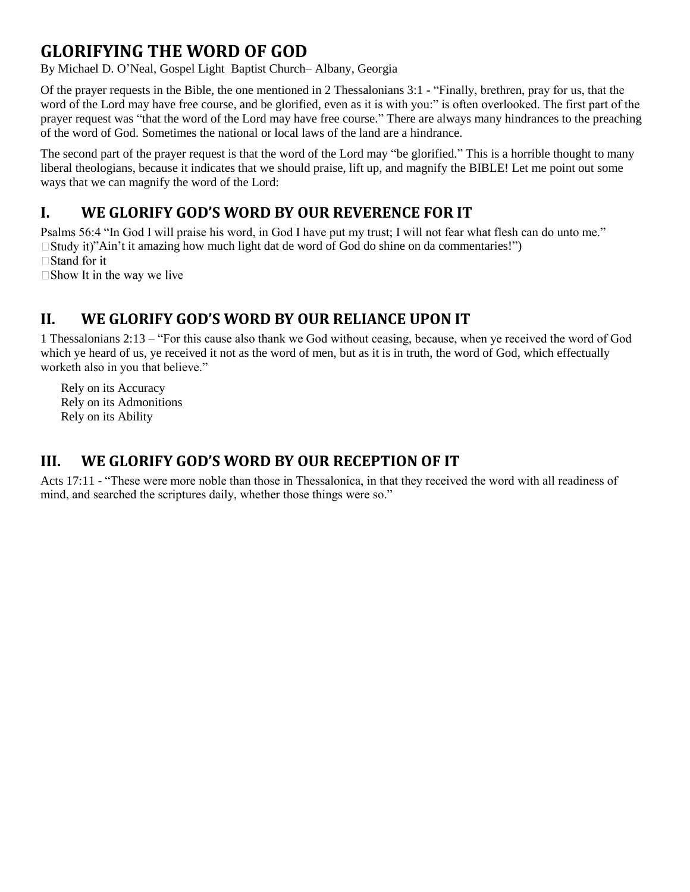### **GLORIFYING THE WORD OF GOD**

By Michael D. O'Neal, Gospel Light Baptist Church– Albany, Georgia

Of the prayer requests in the Bible, the one mentioned in 2 Thessalonians 3:1 - "Finally, brethren, pray for us, that the word of the Lord may have free course, and be glorified, even as it is with you:" is often overlooked. The first part of the prayer request was "that the word of the Lord may have free course." There are always many hindrances to the preaching of the word of God. Sometimes the national or local laws of the land are a hindrance.

The second part of the prayer request is that the word of the Lord may "be glorified." This is a horrible thought to many liberal theologians, because it indicates that we should praise, lift up, and magnify the BIBLE! Let me point out some ways that we can magnify the word of the Lord:

#### **I. WE GLORIFY GOD'S WORD BY OUR REVERENCE FOR IT**

Psalms 56:4 "In God I will praise his word, in God I have put my trust; I will not fear what flesh can do unto me."  $\Box$  Study it)"Ain't it amazing how much light dat de word of God do shine on da commentaries!")  $\Box$  Stand for it

 $\square$  Show It in the way we live

#### **II. WE GLORIFY GOD'S WORD BY OUR RELIANCE UPON IT**

1 Thessalonians 2:13 – "For this cause also thank we God without ceasing, because, when ye received the word of God which ye heard of us, ye received it not as the word of men, but as it is in truth, the word of God, which effectually worketh also in you that believe."

Rely on its Accuracy Rely on its Admonitions Rely on its Ability

#### **III. WE GLORIFY GOD'S WORD BY OUR RECEPTION OF IT**

Acts 17:11 - "These were more noble than those in Thessalonica, in that they received the word with all readiness of mind, and searched the scriptures daily, whether those things were so."